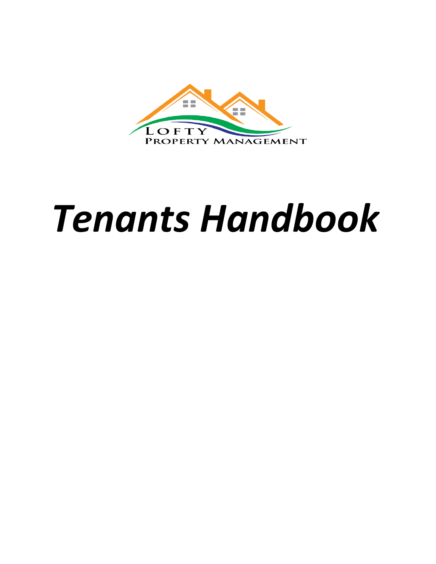

# *Tenants Handbook*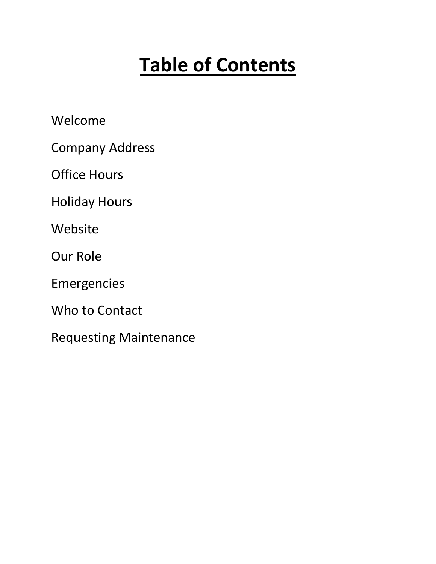# **Table of Contents**

Welcome

Company Address

Office Hours

Holiday Hours

Website

Our Role

Emergencies

Who to Contact

Requesting Maintenance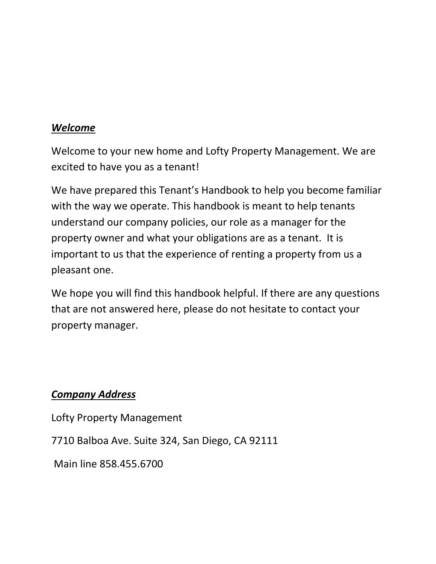#### *Welcome*

Welcome to your new home and Lofty Property Management. We are excited to have you as a tenant!

We have prepared this Tenant's Handbook to help you become familiar with the way we operate. This handbook is meant to help tenants understand our company policies, our role as a manager for the property owner and what your obligations are as a tenant. It is important to us that the experience of renting a property from us a pleasant one.

We hope you will find this handbook helpful. If there are any questions that are not answered here, please do not hesitate to contact your property manager.

#### *Company Address*

Lofty Property Management

7710 Balboa Ave. Suite 324, San Diego, CA 92111

Main line 858.455.6700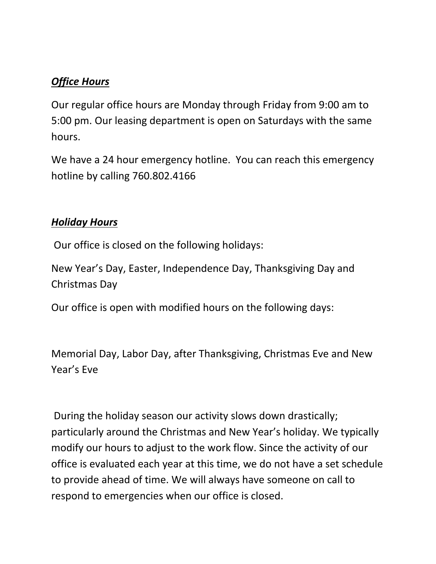#### *Office Hours*

Our regular office hours are Monday through Friday from 9:00 am to 5:00 pm. Our leasing department is open on Saturdays with the same hours.

We have a 24 hour emergency hotline. You can reach this emergency hotline by calling 760.802.4166

#### *Holiday Hours*

Our office is closed on the following holidays:

New Year's Day, Easter, Independence Day, Thanksgiving Day and Christmas Day

Our office is open with modified hours on the following days:

Memorial Day, Labor Day, after Thanksgiving, Christmas Eve and New Year's Eve

During the holiday season our activity slows down drastically; particularly around the Christmas and New Year's holiday. We typically modify our hours to adjust to the work flow. Since the activity of our office is evaluated each year at this time, we do not have a set schedule to provide ahead of time. We will always have someone on call to respond to emergencies when our office is closed.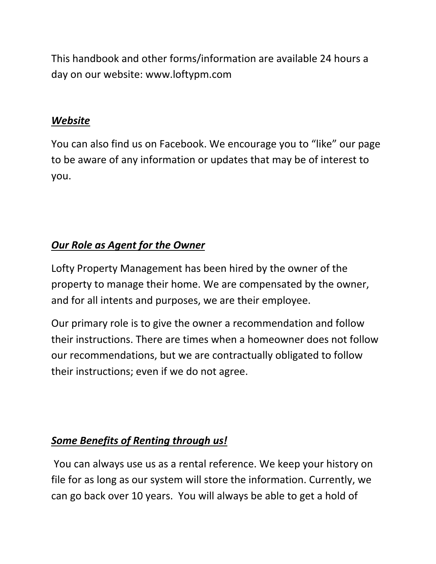This handbook and other forms/information are available 24 hours a day on our website: www.loftypm.com

#### *Website*

You can also find us on Facebook. We encourage you to "like" our page to be aware of any information or updates that may be of interest to you.

# *Our Role as Agent for the Owner*

Lofty Property Management has been hired by the owner of the property to manage their home. We are compensated by the owner, and for all intents and purposes, we are their employee.

Our primary role is to give the owner a recommendation and follow their instructions. There are times when a homeowner does not follow our recommendations, but we are contractually obligated to follow their instructions; even if we do not agree.

# *Some Benefits of Renting through us!*

You can always use us as a rental reference. We keep your history on file for as long as our system will store the information. Currently, we can go back over 10 years. You will always be able to get a hold of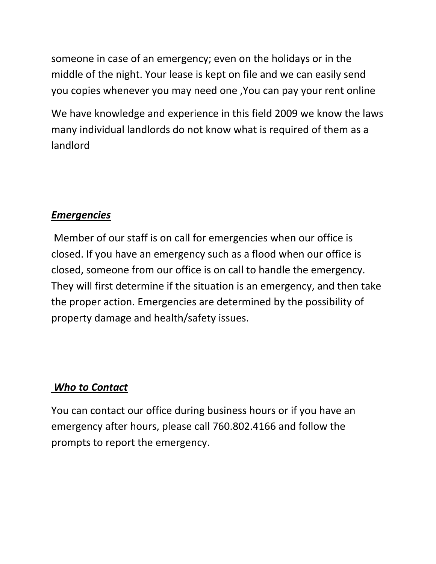someone in case of an emergency; even on the holidays or in the middle of the night. Your lease is kept on file and we can easily send you copies whenever you may need one ,You can pay your rent online

We have knowledge and experience in this field 2009 we know the laws many individual landlords do not know what is required of them as a landlord

#### *Emergencies*

Member of our staff is on call for emergencies when our office is closed. If you have an emergency such as a flood when our office is closed, someone from our office is on call to handle the emergency. They will first determine if the situation is an emergency, and then take the proper action. Emergencies are determined by the possibility of property damage and health/safety issues.

# *Who to Contact*

You can contact our office during business hours or if you have an emergency after hours, please call 760.802.4166 and follow the prompts to report the emergency.